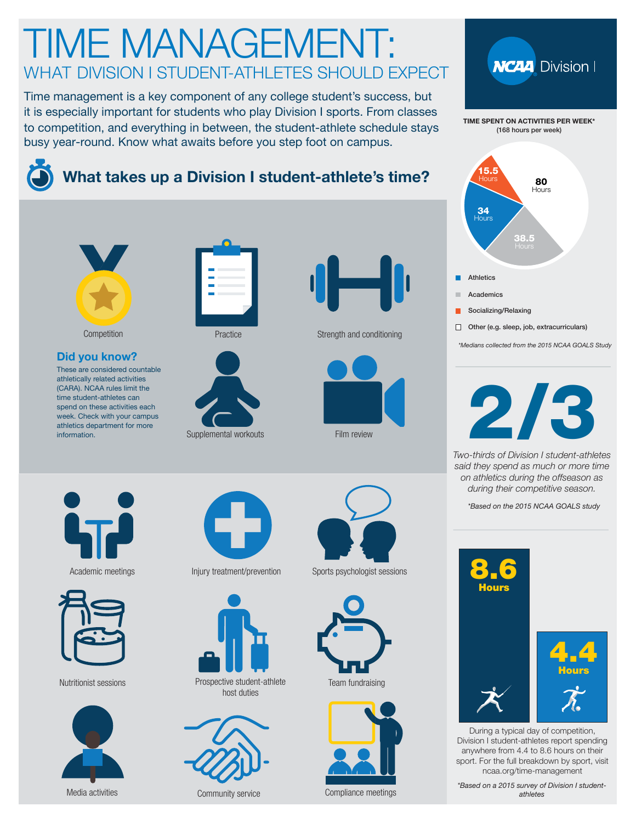## TIME MANAGEMENT: WHAT DIVISION I STUDENT-ATHLETES SHOULD EXPECT

Time management is a key component of any college student's success, but it is especially important for students who play Division I sports. From classes to competition, and everything in between, the student-athlete schedule stays busy year-round. Know what awaits before you step foot on campus.



### **What takes up a Division I student-athlete's time?**



#### Athletics **Academics** Socializing/Relaxing Other (e.g. sleep, job, extracurriculars) 80 Hours 38.5 34 Hours 15.5 Hours

\*Medians collected from the 2015 NCAA GOALS Study



Two-thirds of Division I student-athletes said they spend as much or more time on athletics during the offseason as during their competitive season.

\*Based on the 2015 NCAA GOALS study



During a typical day of competition, Division I student-athletes report spending anywhere from 4.4 to 8.6 hours on their sport. For the full breakdown by sport, visit [ncaa.org/time-management](http://www.ncaa.org/time-management)

\*Based on a 2015 survey of Division I studentathletes



**Competition** 

#### **Did you know?**

These are considered countable athletically related activities (CARA). NCAA rules limit the time student-athletes can spend on these activities each week. Check with your campus athletics department for more information.







Practice Strength and conditioning





Academic meetings



Nutritionist sessions







Prospective student-athlete host duties



Media activities Community service



#### Injury treatment/prevention Sports psychologist sessions



Team fundraising



Compliance meetings